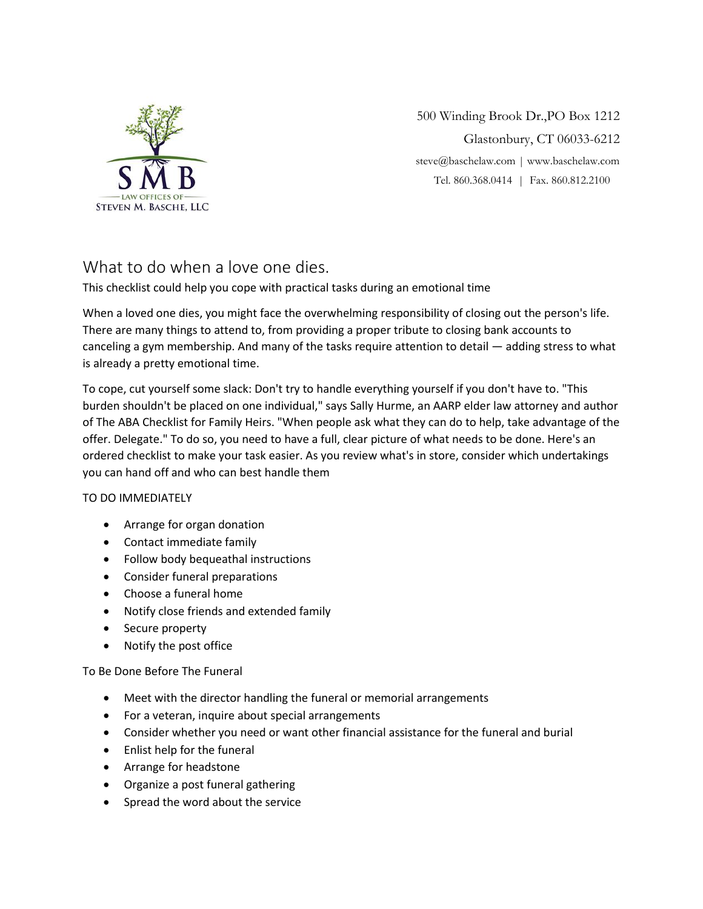

500 Winding Brook Dr.,PO Box 1212 Glastonbury, CT 06033-6212 [steve@baschelaw.com](mailto:steve@baschelaw.com) | www.baschelaw.com Tel. 860.368.0414 | Fax. 860.812.2100

# What to do when a love one dies.

This checklist could help you cope with practical tasks during an emotional time

When a loved one dies, you might face the overwhelming responsibility of closing out the person's life. There are many things to attend to, from providing a proper tribute to closing bank accounts to canceling a gym membership. And many of the tasks require attention to detail — adding stress to what is already a pretty emotional time.

To cope, cut yourself some slack: Don't try to handle everything yourself if you don't have to. "This burden shouldn't be placed on one individual," says Sally Hurme, an AARP elder law attorney and author of The ABA Checklist for Family Heirs. "When people ask what they can do to help, take advantage of the offer. Delegate." To do so, you need to have a full, clear picture of what needs to be done. Here's an ordered checklist to make your task easier. As you review what's in store, consider which undertakings you can hand off and who can best handle them

### TO DO IMMEDIATELY

- Arrange for organ donation
- Contact immediate family
- Follow body bequeathal instructions
- Consider funeral preparations
- Choose a funeral home
- Notify close friends and extended family
- Secure property
- Notify the post office

## To Be Done Before The Funeral

- Meet with the director handling the funeral or memorial arrangements
- For a veteran, inquire about special arrangements
- Consider whether you need or want other financial assistance for the funeral and burial
- Enlist help for the funeral
- Arrange for headstone
- Organize a post funeral gathering
- Spread the word about the service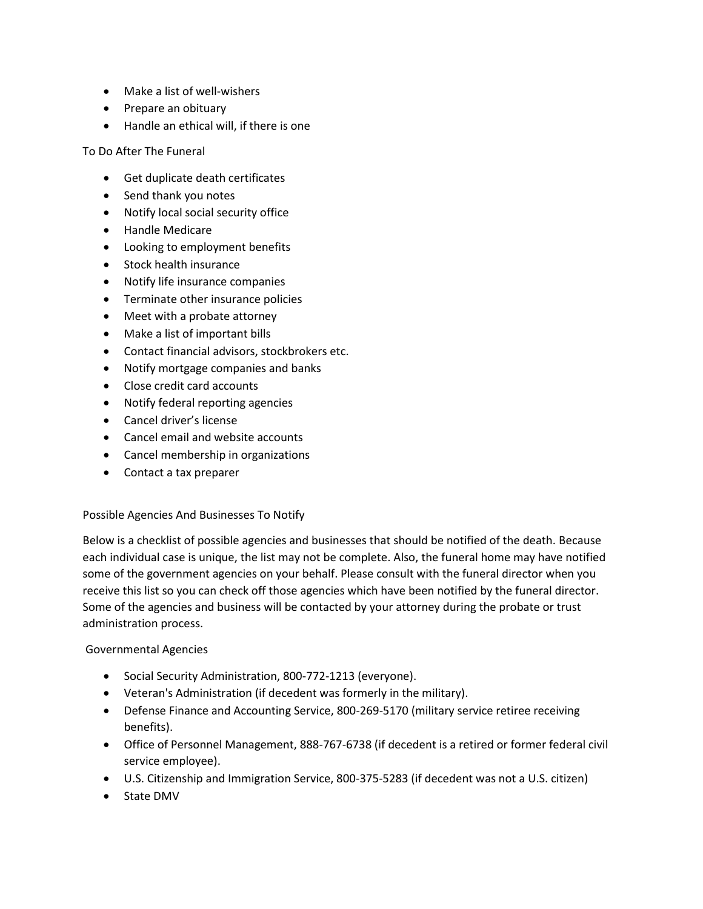- Make a list of well-wishers
- Prepare an obituary
- Handle an ethical will, if there is one

To Do After The Funeral

- Get duplicate death certificates
- Send thank you notes
- Notify local social security office
- Handle Medicare
- Looking to employment benefits
- Stock health insurance
- Notify life insurance companies
- **•** Terminate other insurance policies
- Meet with a probate attorney
- Make a list of important bills
- Contact financial advisors, stockbrokers etc.
- Notify mortgage companies and banks
- Close credit card accounts
- Notify federal reporting agencies
- Cancel driver's license
- Cancel email and website accounts
- Cancel membership in organizations
- Contact a tax preparer

### Possible Agencies And Businesses To Notify

Below is a checklist of possible agencies and businesses that should be notified of the death. Because each individual case is unique, the list may not be complete. Also, the funeral home may have notified some of the government agencies on your behalf. Please consult with the funeral director when you receive this list so you can check off those agencies which have been notified by the funeral director. Some of the agencies and business will be contacted by your attorney during the probate or trust administration process.

### Governmental Agencies

- Social Security Administration, 800-772-1213 (everyone).
- Veteran's Administration (if decedent was formerly in the military).
- Defense Finance and Accounting Service, 800-269-5170 (military service retiree receiving benefits).
- Office of Personnel Management, 888-767-6738 (if decedent is a retired or former federal civil service employee).
- U.S. Citizenship and Immigration Service, 800-375-5283 (if decedent was not a U.S. citizen)
- State DMV